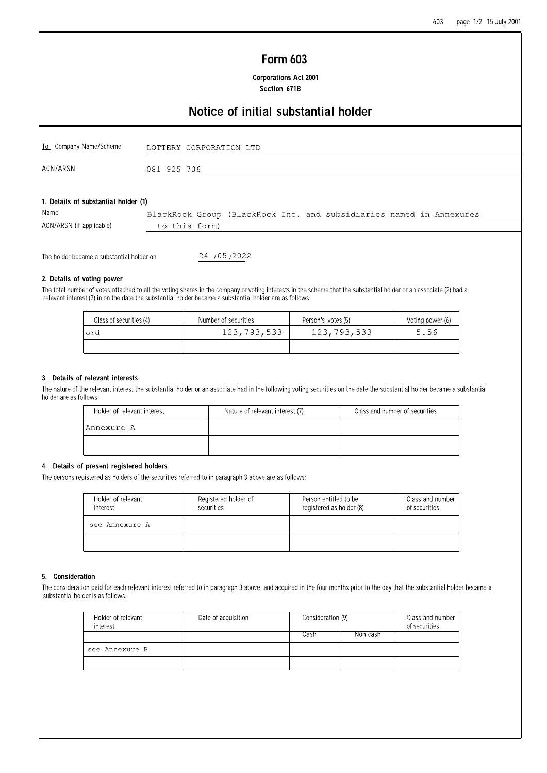# **Form 603**

**Corporations Act 2001** Section 671B

# Notice of initial substantial holder

| To Company Name/Scheme               | LOTTERY CORPORATION LTD                                            |
|--------------------------------------|--------------------------------------------------------------------|
| ACN/ARSN                             | 081 925 706                                                        |
|                                      |                                                                    |
| 1. Details of substantial holder (1) |                                                                    |
| Name                                 | DlastDast Guerra (DlastDast Tex sed subsidianise esped in Bensumma |

| 149111V                  |               |  | BlackRock Group (BlackRock Inc. and Subsidiaries named in Annexures |
|--------------------------|---------------|--|---------------------------------------------------------------------|
| ACN/ARSN (if applicable) | to this form) |  |                                                                     |
|                          |               |  |                                                                     |

The holder became a substantial holder on

24 / 05 / 2022

## 2. Details of voting power

The total number of votes attached to all the voting shares in the company or voting interests in the scheme that the substantial holder or an associate (2) had a relevant interest (3) in on the date the substantial holder

| Class of securities (4) | Number of securities | Person's votes (5) | Voting power (6) |  |  |
|-------------------------|----------------------|--------------------|------------------|--|--|
| lord                    | 123,793,533          | 123,793,533        | 5.56             |  |  |
|                         |                      |                    |                  |  |  |

#### 3. Details of relevant interests

The nature of the relevant interest the substantial holder or an associate had in the following voting securities on the date the substantial holder became a substantial holder are as follows:

| Holder of relevant interest | Nature of relevant interest (7) | Class and number of securities |
|-----------------------------|---------------------------------|--------------------------------|
| Annexure A                  |                                 |                                |
|                             |                                 |                                |

## 4. Details of present registered holders

The persons registered as holders of the securities referred to in paragraph 3 above are as follows:

| Holder of relevant<br>interest | Registered holder of<br>securities | Person entitled to be<br>registered as holder (8) | Class and number<br>of securities |
|--------------------------------|------------------------------------|---------------------------------------------------|-----------------------------------|
| see Annexure A                 |                                    |                                                   |                                   |
|                                |                                    |                                                   |                                   |

### 5. Consideration

The consideration paid for each relevant interest referred to in paragraph 3 above, and acquired in the four months prior to the day that the substantial holder became a substantial holder is as follows:

| Holder of relevant<br>interest | Date of acquisition | Consideration (9) |  | Class and number<br>of securities |  |
|--------------------------------|---------------------|-------------------|--|-----------------------------------|--|
|                                |                     | Non-cash<br>Cash  |  |                                   |  |
| see Annexure B                 |                     |                   |  |                                   |  |
|                                |                     |                   |  |                                   |  |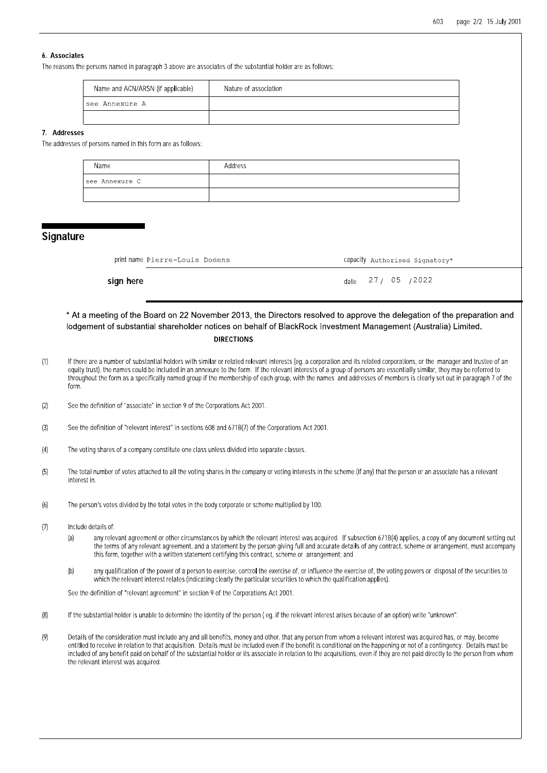## 6. Associates

The reasons the persons named in paragraph 3 above are associates of the substantial holder are as follows:

| Name and ACN/ARSN (if applicable) | Nature of association |
|-----------------------------------|-----------------------|
| 'see Annexure A                   |                       |
|                                   |                       |

#### 7. Addresses

The addresses of persons named in this form are as follows:

| Name           | Address |
|----------------|---------|
| see Annexure C |         |
|                |         |

## **Signature**

| printname Pierre-Louis Dodens | Capacity Authorised Signatory* |
|-------------------------------|--------------------------------|
| ign here                      | date 27 / 05 / 2022            |

sign here

## \* At a meeting of the Board on 22 November 2013, the Directors resolved to approve the delegation of the preparation and lodgement of substantial shareholder notices on behalf of BlackRock Investment Management (Australia) Limited. **DIRECTIONS**

- $(1)$ If there are a number of substantial holders with similar or related relevant interests (eg. a corporation and its related corporations, or the manager and trustee of an equity trust), the names could be included in an annexure to the form. If the relevant interests of a group of persons are essentially similar, they may be referred to throughout the form as a specifically named group if the membership of each group, with the names and addresses of members is clearly set out in paragraph 7 of the
- $(2)$ See the definition of "associate" in section 9 of the Corporations Act 2001.
- See the definition of "relevant interest" in sections 608 and 671B(7) of the Corporations Act 2001  $(3)$
- $(4)$ The voting shares of a company constitute one class unless divided into separate classes
- The total number of votes attached to all the voting shares in the company or voting interests in the scheme (if any) that the person or an associate has a relevant  $(5)$ interest in.
- $(6)$ The person's votes divided by the total votes in the body corporate or scheme multiplied by 100
- $(7)$ Include details of:
	- any relevant agreement or other circumstances by which the relevant interest was acquired. If subsection 671B(4) applies, a copy of any document setting out  $(a)$ the terms of any relevant agreement, and a statement by the person giving full and accurate details of any contract, scheme or arrangement, must accompany this form, together with a written statement certifying this contract, scheme or arrangement; and
	- any qualification of the power of a person to exercise, control the exercise of, or influence the exercise of, the voting powers or disposal of the securities to  $(b)$ which the relevant interest relates (indicating clearly the particular securities to which the qualification applies).

See the definition of "relevant agreement" in section 9 of the Corporations Act 2001.

- $(8)$ If the substantial holder is unable to determine the identity of the person (eq. if the relevant interest arises because of an option) write "unknown".
- Details of the consideration must include any and all benefits, money and other, that any person from whom a relevant interest was acquired has, or may, become  $(9)$ entitled to receive in relation to that acquisition. Details must be included even if the benefit is conditional on the happening or not of a contingency. Details must be included of any benefit paid on behalf of the substantial holder or its associate in relation to the acquisitions, even if they are not paid directly to the person from whom the relevant interest was acquired.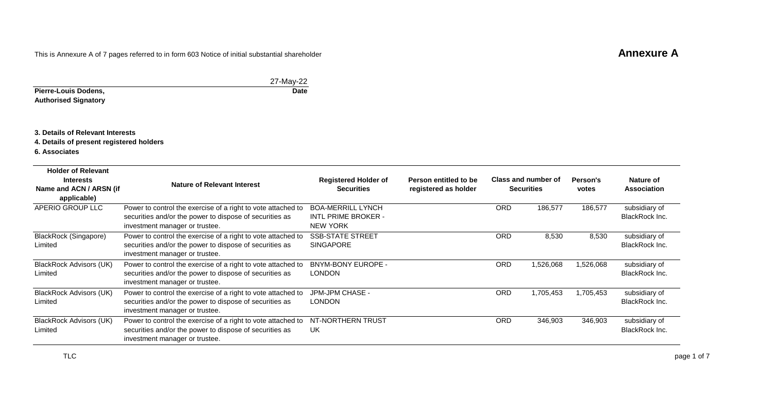# This is Annexure A of 7 pages referred to in form 603 Notice of initial substantial shareholder **Annexure A**

|                             | 27-May-22   |
|-----------------------------|-------------|
| Pierre-Louis Dodens,        | <b>Date</b> |
| <b>Authorised Signatory</b> |             |

## **3. Details of Relevant Interests**

**4. Details of present registered holders**

**6. Associates**

| <b>Holder of Relevant</b><br><b>Interests</b><br>Name and ACN / ARSN (if<br>applicable) | Nature of Relevant Interest                                                                                                                               | <b>Registered Holder of</b><br><b>Securities</b>                          | Person entitled to be<br>registered as holder |            | Class and number of<br><b>Securities</b> | Person's<br>votes | Nature of<br><b>Association</b>        |
|-----------------------------------------------------------------------------------------|-----------------------------------------------------------------------------------------------------------------------------------------------------------|---------------------------------------------------------------------------|-----------------------------------------------|------------|------------------------------------------|-------------------|----------------------------------------|
| APERIO GROUP LLC                                                                        | Power to control the exercise of a right to vote attached to<br>securities and/or the power to dispose of securities as<br>investment manager or trustee. | <b>BOA-MERRILL LYNCH</b><br><b>INTL PRIME BROKER -</b><br><b>NEW YORK</b> |                                               | <b>ORD</b> | 186,577                                  | 186,577           | subsidiary of<br>BlackRock Inc.        |
| BlackRock (Singapore)<br>Limited                                                        | Power to control the exercise of a right to vote attached to<br>securities and/or the power to dispose of securities as<br>investment manager or trustee. | <b>SSB-STATE STREET</b><br><b>SINGAPORE</b>                               |                                               | <b>ORD</b> | 8,530                                    | 8,530             | subsidiary of<br>BlackRock Inc.        |
| BlackRock Advisors (UK)<br>Limited                                                      | Power to control the exercise of a right to vote attached to<br>securities and/or the power to dispose of securities as<br>investment manager or trustee. | <b>BNYM-BONY EUROPE -</b><br>LONDON                                       |                                               | <b>ORD</b> | 1,526,068                                | 1,526,068         | subsidiary of<br>BlackRock Inc.        |
| BlackRock Advisors (UK)<br>Limited                                                      | Power to control the exercise of a right to vote attached to<br>securities and/or the power to dispose of securities as<br>investment manager or trustee. | JPM-JPM CHASE -<br><b>LONDON</b>                                          |                                               | <b>ORD</b> | 1,705,453                                | 1,705,453         | subsidiary of<br><b>BlackRock Inc.</b> |
| BlackRock Advisors (UK)<br>Limited                                                      | Power to control the exercise of a right to vote attached to<br>securities and/or the power to dispose of securities as<br>investment manager or trustee. | NT-NORTHERN TRUST<br>UK                                                   |                                               | <b>ORD</b> | 346,903                                  | 346,903           | subsidiary of<br>BlackRock Inc.        |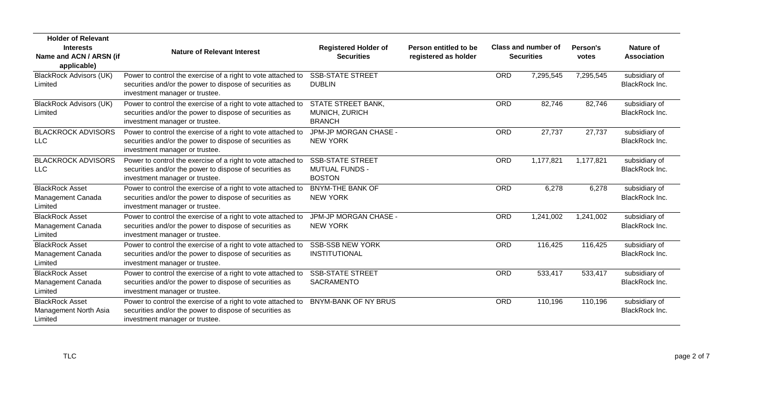| <b>Holder of Relevant</b><br><b>Interests</b><br>Name and ACN / ARSN (if<br>applicable) | <b>Nature of Relevant Interest</b>                                                                                                                        | <b>Registered Holder of</b><br><b>Securities</b>                  | Person entitled to be<br>registered as holder | Class and number of<br><b>Securities</b> |           | Person's<br>votes | <b>Nature of</b><br><b>Association</b> |
|-----------------------------------------------------------------------------------------|-----------------------------------------------------------------------------------------------------------------------------------------------------------|-------------------------------------------------------------------|-----------------------------------------------|------------------------------------------|-----------|-------------------|----------------------------------------|
| <b>BlackRock Advisors (UK)</b><br>Limited                                               | Power to control the exercise of a right to vote attached to<br>securities and/or the power to dispose of securities as<br>investment manager or trustee. | <b>SSB-STATE STREET</b><br><b>DUBLIN</b>                          |                                               | ORD                                      | 7,295,545 | 7,295,545         | subsidiary of<br>BlackRock Inc.        |
| <b>BlackRock Advisors (UK)</b><br>Limited                                               | Power to control the exercise of a right to vote attached to<br>securities and/or the power to dispose of securities as<br>investment manager or trustee. | <b>STATE STREET BANK,</b><br>MUNICH, ZURICH<br><b>BRANCH</b>      |                                               | ORD                                      | 82,746    | 82,746            | subsidiary of<br><b>BlackRock Inc.</b> |
| <b>BLACKROCK ADVISORS</b><br><b>LLC</b>                                                 | Power to control the exercise of a right to vote attached to<br>securities and/or the power to dispose of securities as<br>investment manager or trustee. | JPM-JP MORGAN CHASE -<br><b>NEW YORK</b>                          |                                               | <b>ORD</b>                               | 27,737    | 27,737            | subsidiary of<br><b>BlackRock Inc.</b> |
| <b>BLACKROCK ADVISORS</b><br><b>LLC</b>                                                 | Power to control the exercise of a right to vote attached to<br>securities and/or the power to dispose of securities as<br>investment manager or trustee. | <b>SSB-STATE STREET</b><br><b>MUTUAL FUNDS -</b><br><b>BOSTON</b> |                                               | ORD                                      | 1,177,821 | 1,177,821         | subsidiary of<br>BlackRock Inc.        |
| <b>BlackRock Asset</b><br>Management Canada<br>Limited                                  | Power to control the exercise of a right to vote attached to<br>securities and/or the power to dispose of securities as<br>investment manager or trustee. | <b>BNYM-THE BANK OF</b><br><b>NEW YORK</b>                        |                                               | ORD                                      | 6,278     | 6,278             | subsidiary of<br><b>BlackRock Inc.</b> |
| <b>BlackRock Asset</b><br>Management Canada<br>Limited                                  | Power to control the exercise of a right to vote attached to<br>securities and/or the power to dispose of securities as<br>investment manager or trustee. | JPM-JP MORGAN CHASE -<br><b>NEW YORK</b>                          |                                               | ORD                                      | 1,241,002 | 1,241,002         | subsidiary of<br><b>BlackRock Inc.</b> |
| <b>BlackRock Asset</b><br>Management Canada<br>Limited                                  | Power to control the exercise of a right to vote attached to<br>securities and/or the power to dispose of securities as<br>investment manager or trustee. | <b>SSB-SSB NEW YORK</b><br><b>INSTITUTIONAL</b>                   |                                               | <b>ORD</b>                               | 116,425   | 116,425           | subsidiary of<br>BlackRock Inc.        |
| <b>BlackRock Asset</b><br>Management Canada<br>Limited                                  | Power to control the exercise of a right to vote attached to<br>securities and/or the power to dispose of securities as<br>investment manager or trustee. | <b>SSB-STATE STREET</b><br><b>SACRAMENTO</b>                      |                                               | <b>ORD</b>                               | 533,417   | 533,417           | subsidiary of<br>BlackRock Inc.        |
| <b>BlackRock Asset</b><br>Management North Asia<br>Limited                              | Power to control the exercise of a right to vote attached to<br>securities and/or the power to dispose of securities as<br>investment manager or trustee. | <b>BNYM-BANK OF NY BRUS</b>                                       |                                               | ORD                                      | 110,196   | 110,196           | subsidiary of<br><b>BlackRock Inc.</b> |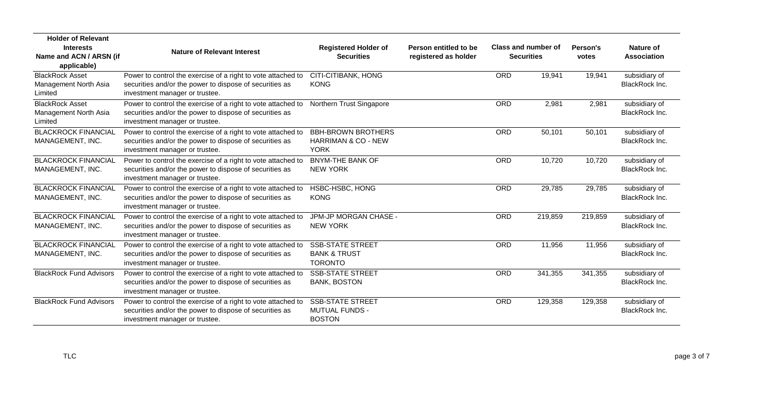| <b>Holder of Relevant</b><br><b>Interests</b><br>Name and ACN / ARSN (if | <b>Nature of Relevant Interest</b>                                                                                                                        | <b>Registered Holder of</b><br><b>Securities</b>                     | Person entitled to be<br>registered as holder |            | Class and number of<br><b>Securities</b> | Person's<br>votes | <b>Nature of</b><br><b>Association</b> |
|--------------------------------------------------------------------------|-----------------------------------------------------------------------------------------------------------------------------------------------------------|----------------------------------------------------------------------|-----------------------------------------------|------------|------------------------------------------|-------------------|----------------------------------------|
| applicable)                                                              |                                                                                                                                                           |                                                                      |                                               |            |                                          |                   |                                        |
| <b>BlackRock Asset</b><br>Management North Asia<br>Limited               | Power to control the exercise of a right to vote attached to<br>securities and/or the power to dispose of securities as<br>investment manager or trustee. | CITI-CITIBANK, HONG<br><b>KONG</b>                                   |                                               | ORD        | 19,941                                   | 19,941            | subsidiary of<br>BlackRock Inc.        |
| <b>BlackRock Asset</b><br>Management North Asia<br>Limited               | Power to control the exercise of a right to vote attached to<br>securities and/or the power to dispose of securities as<br>investment manager or trustee. | Northern Trust Singapore                                             |                                               | <b>ORD</b> | 2,981                                    | 2,981             | subsidiary of<br>BlackRock Inc.        |
| <b>BLACKROCK FINANCIAL</b><br>MANAGEMENT, INC.                           | Power to control the exercise of a right to vote attached to<br>securities and/or the power to dispose of securities as<br>investment manager or trustee. | <b>BBH-BROWN BROTHERS</b><br>HARRIMAN & CO - NEW<br><b>YORK</b>      |                                               | <b>ORD</b> | 50,101                                   | 50,101            | subsidiary of<br>BlackRock Inc.        |
| <b>BLACKROCK FINANCIAL</b><br>MANAGEMENT, INC.                           | Power to control the exercise of a right to vote attached to<br>securities and/or the power to dispose of securities as<br>investment manager or trustee. | <b>BNYM-THE BANK OF</b><br><b>NEW YORK</b>                           |                                               | ORD        | 10,720                                   | 10,720            | subsidiary of<br>BlackRock Inc.        |
| <b>BLACKROCK FINANCIAL</b><br>MANAGEMENT, INC.                           | Power to control the exercise of a right to vote attached to<br>securities and/or the power to dispose of securities as<br>investment manager or trustee. | HSBC-HSBC, HONG<br><b>KONG</b>                                       |                                               | ORD        | 29,785                                   | 29,785            | subsidiary of<br>BlackRock Inc.        |
| <b>BLACKROCK FINANCIAL</b><br>MANAGEMENT, INC.                           | Power to control the exercise of a right to vote attached to<br>securities and/or the power to dispose of securities as<br>investment manager or trustee. | JPM-JP MORGAN CHASE -<br><b>NEW YORK</b>                             |                                               | ORD        | 219,859                                  | 219,859           | subsidiary of<br>BlackRock Inc.        |
| <b>BLACKROCK FINANCIAL</b><br>MANAGEMENT, INC.                           | Power to control the exercise of a right to vote attached to<br>securities and/or the power to dispose of securities as<br>investment manager or trustee. | <b>SSB-STATE STREET</b><br><b>BANK &amp; TRUST</b><br><b>TORONTO</b> |                                               | ORD        | 11,956                                   | 11,956            | subsidiary of<br>BlackRock Inc.        |
| <b>BlackRock Fund Advisors</b>                                           | Power to control the exercise of a right to vote attached to<br>securities and/or the power to dispose of securities as<br>investment manager or trustee. | <b>SSB-STATE STREET</b><br><b>BANK, BOSTON</b>                       |                                               | ORD        | 341,355                                  | 341,355           | subsidiary of<br>BlackRock Inc.        |
| <b>BlackRock Fund Advisors</b>                                           | Power to control the exercise of a right to vote attached to<br>securities and/or the power to dispose of securities as<br>investment manager or trustee. | <b>SSB-STATE STREET</b><br><b>MUTUAL FUNDS -</b><br><b>BOSTON</b>    |                                               | ORD        | 129,358                                  | 129,358           | subsidiary of<br>BlackRock Inc.        |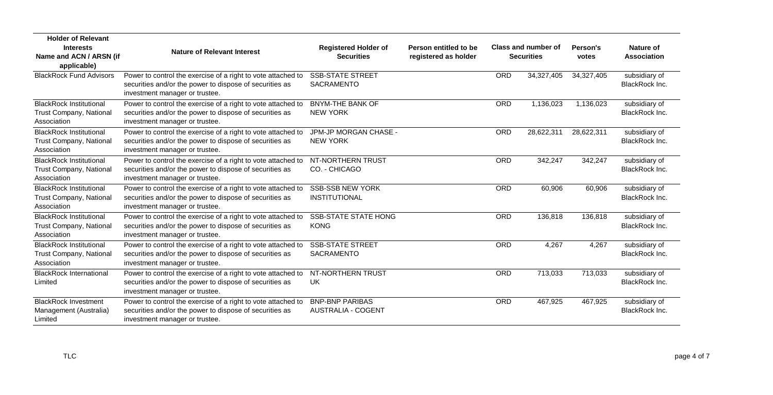| <b>Holder of Relevant</b><br><b>Interests</b><br>Name and ACN / ARSN (if<br>applicable) | <b>Nature of Relevant Interest</b>                                                                                                                        | <b>Registered Holder of</b><br><b>Securities</b>    | Person entitled to be<br>registered as holder |            | Class and number of<br><b>Securities</b> | Person's<br>votes | Nature of<br><b>Association</b> |
|-----------------------------------------------------------------------------------------|-----------------------------------------------------------------------------------------------------------------------------------------------------------|-----------------------------------------------------|-----------------------------------------------|------------|------------------------------------------|-------------------|---------------------------------|
| <b>BlackRock Fund Advisors</b>                                                          | Power to control the exercise of a right to vote attached to<br>securities and/or the power to dispose of securities as<br>investment manager or trustee. | <b>SSB-STATE STREET</b><br><b>SACRAMENTO</b>        |                                               | <b>ORD</b> | 34,327,405                               | 34,327,405        | subsidiary of<br>BlackRock Inc. |
| <b>BlackRock Institutional</b><br><b>Trust Company, National</b><br>Association         | Power to control the exercise of a right to vote attached to<br>securities and/or the power to dispose of securities as<br>investment manager or trustee. | <b>BNYM-THE BANK OF</b><br><b>NEW YORK</b>          |                                               | <b>ORD</b> | 1,136,023                                | 1,136,023         | subsidiary of<br>BlackRock Inc. |
| <b>BlackRock Institutional</b><br><b>Trust Company, National</b><br>Association         | Power to control the exercise of a right to vote attached to<br>securities and/or the power to dispose of securities as<br>investment manager or trustee. | JPM-JP MORGAN CHASE -<br><b>NEW YORK</b>            |                                               | ORD        | 28,622,311                               | 28,622,311        | subsidiary of<br>BlackRock Inc. |
| <b>BlackRock Institutional</b><br><b>Trust Company, National</b><br>Association         | Power to control the exercise of a right to vote attached to<br>securities and/or the power to dispose of securities as<br>investment manager or trustee. | NT-NORTHERN TRUST<br>CO. - CHICAGO                  |                                               | <b>ORD</b> | 342,247                                  | 342,247           | subsidiary of<br>BlackRock Inc. |
| <b>BlackRock Institutional</b><br><b>Trust Company, National</b><br>Association         | Power to control the exercise of a right to vote attached to<br>securities and/or the power to dispose of securities as<br>investment manager or trustee. | <b>SSB-SSB NEW YORK</b><br><b>INSTITUTIONAL</b>     |                                               | <b>ORD</b> | 60,906                                   | 60,906            | subsidiary of<br>BlackRock Inc. |
| <b>BlackRock Institutional</b><br><b>Trust Company, National</b><br>Association         | Power to control the exercise of a right to vote attached to<br>securities and/or the power to dispose of securities as<br>investment manager or trustee. | <b>SSB-STATE STATE HONG</b><br><b>KONG</b>          |                                               | <b>ORD</b> | 136,818                                  | 136,818           | subsidiary of<br>BlackRock Inc. |
| <b>BlackRock Institutional</b><br><b>Trust Company, National</b><br>Association         | Power to control the exercise of a right to vote attached to<br>securities and/or the power to dispose of securities as<br>investment manager or trustee. | <b>SSB-STATE STREET</b><br>SACRAMENTO               |                                               | ORD        | 4,267                                    | 4,267             | subsidiary of<br>BlackRock Inc. |
| <b>BlackRock International</b><br>Limited                                               | Power to control the exercise of a right to vote attached to<br>securities and/or the power to dispose of securities as<br>investment manager or trustee. | NT-NORTHERN TRUST<br>UK                             |                                               | <b>ORD</b> | 713,033                                  | 713,033           | subsidiary of<br>BlackRock Inc. |
| <b>BlackRock Investment</b><br>Management (Australia)<br>Limited                        | Power to control the exercise of a right to vote attached to<br>securities and/or the power to dispose of securities as<br>investment manager or trustee. | <b>BNP-BNP PARIBAS</b><br><b>AUSTRALIA - COGENT</b> |                                               | <b>ORD</b> | 467,925                                  | 467,925           | subsidiary of<br>BlackRock Inc. |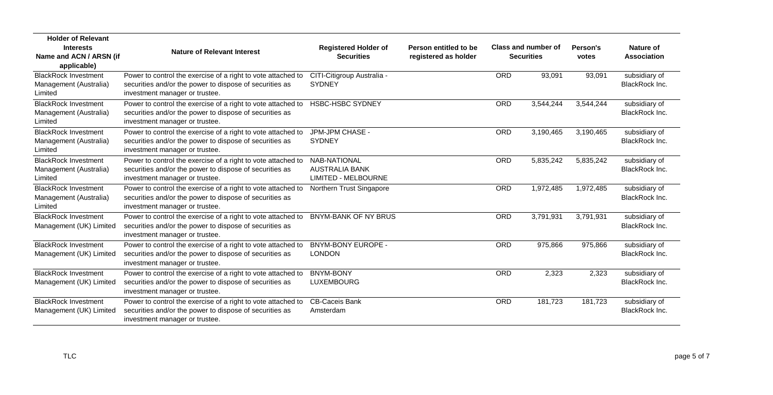| <b>Holder of Relevant</b>                                        |                                                                                                                                                           |                                                                            |                                               |            |                                          |                   |                                        |
|------------------------------------------------------------------|-----------------------------------------------------------------------------------------------------------------------------------------------------------|----------------------------------------------------------------------------|-----------------------------------------------|------------|------------------------------------------|-------------------|----------------------------------------|
| <b>Interests</b><br>Name and ACN / ARSN (if<br>applicable)       | <b>Nature of Relevant Interest</b>                                                                                                                        | <b>Registered Holder of</b><br><b>Securities</b>                           | Person entitled to be<br>registered as holder |            | Class and number of<br><b>Securities</b> | Person's<br>votes | <b>Nature of</b><br><b>Association</b> |
| <b>BlackRock Investment</b><br>Management (Australia)<br>Limited | Power to control the exercise of a right to vote attached to<br>securities and/or the power to dispose of securities as<br>investment manager or trustee. | CITI-Citigroup Australia -<br><b>SYDNEY</b>                                |                                               | ORD        | 93,091                                   | 93,091            | subsidiary of<br>BlackRock Inc.        |
| <b>BlackRock Investment</b><br>Management (Australia)<br>Limited | Power to control the exercise of a right to vote attached to<br>securities and/or the power to dispose of securities as<br>investment manager or trustee. | <b>HSBC-HSBC SYDNEY</b>                                                    |                                               | ORD        | 3,544,244                                | 3,544,244         | subsidiary of<br><b>BlackRock Inc.</b> |
| <b>BlackRock Investment</b><br>Management (Australia)<br>Limited | Power to control the exercise of a right to vote attached to<br>securities and/or the power to dispose of securities as<br>investment manager or trustee. | JPM-JPM CHASE -<br><b>SYDNEY</b>                                           |                                               | <b>ORD</b> | 3,190,465                                | 3,190,465         | subsidiary of<br>BlackRock Inc.        |
| <b>BlackRock Investment</b><br>Management (Australia)<br>Limited | Power to control the exercise of a right to vote attached to<br>securities and/or the power to dispose of securities as<br>investment manager or trustee. | <b>NAB-NATIONAL</b><br><b>AUSTRALIA BANK</b><br><b>LIMITED - MELBOURNE</b> |                                               | <b>ORD</b> | 5,835,242                                | 5,835,242         | subsidiary of<br>BlackRock Inc.        |
| <b>BlackRock Investment</b><br>Management (Australia)<br>Limited | Power to control the exercise of a right to vote attached to<br>securities and/or the power to dispose of securities as<br>investment manager or trustee. | Northern Trust Singapore                                                   |                                               | ORD        | 1,972,485                                | 1,972,485         | subsidiary of<br><b>BlackRock Inc.</b> |
| <b>BlackRock Investment</b><br>Management (UK) Limited           | Power to control the exercise of a right to vote attached to<br>securities and/or the power to dispose of securities as<br>investment manager or trustee. | <b>BNYM-BANK OF NY BRUS</b>                                                |                                               | ORD        | 3,791,931                                | 3,791,931         | subsidiary of<br><b>BlackRock Inc.</b> |
| <b>BlackRock Investment</b><br>Management (UK) Limited           | Power to control the exercise of a right to vote attached to<br>securities and/or the power to dispose of securities as<br>investment manager or trustee. | <b>BNYM-BONY EUROPE -</b><br><b>LONDON</b>                                 |                                               | <b>ORD</b> | 975,866                                  | 975,866           | subsidiary of<br>BlackRock Inc.        |
| <b>BlackRock Investment</b><br>Management (UK) Limited           | Power to control the exercise of a right to vote attached to<br>securities and/or the power to dispose of securities as<br>investment manager or trustee. | <b>BNYM-BONY</b><br><b>LUXEMBOURG</b>                                      |                                               | <b>ORD</b> | 2,323                                    | 2,323             | subsidiary of<br>BlackRock Inc.        |
| <b>BlackRock Investment</b><br>Management (UK) Limited           | Power to control the exercise of a right to vote attached to<br>securities and/or the power to dispose of securities as<br>investment manager or trustee. | <b>CB-Caceis Bank</b><br>Amsterdam                                         |                                               | ORD        | 181,723                                  | 181,723           | subsidiary of<br><b>BlackRock Inc.</b> |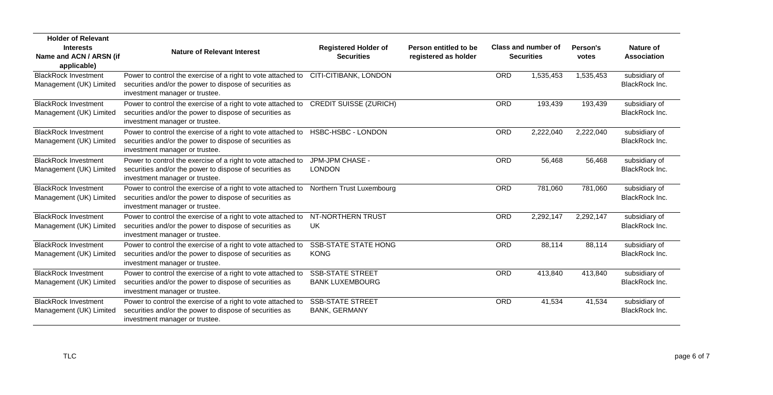| <b>Holder of Relevant</b>                              |                                                                                                                                                           |                                                   |                                               |            |                                          |                   |                                 |
|--------------------------------------------------------|-----------------------------------------------------------------------------------------------------------------------------------------------------------|---------------------------------------------------|-----------------------------------------------|------------|------------------------------------------|-------------------|---------------------------------|
| <b>Interests</b><br>Name and ACN / ARSN (if            | <b>Nature of Relevant Interest</b>                                                                                                                        | <b>Registered Holder of</b><br><b>Securities</b>  | Person entitled to be<br>registered as holder |            | Class and number of<br><b>Securities</b> | Person's<br>votes | Nature of<br><b>Association</b> |
| applicable)                                            |                                                                                                                                                           |                                                   |                                               |            |                                          |                   |                                 |
| <b>BlackRock Investment</b><br>Management (UK) Limited | Power to control the exercise of a right to vote attached to<br>securities and/or the power to dispose of securities as<br>investment manager or trustee. | CITI-CITIBANK, LONDON                             |                                               | <b>ORD</b> | 1,535,453                                | 1,535,453         | subsidiary of<br>BlackRock Inc. |
| <b>BlackRock Investment</b><br>Management (UK) Limited | Power to control the exercise of a right to vote attached to<br>securities and/or the power to dispose of securities as<br>investment manager or trustee. | <b>CREDIT SUISSE (ZURICH)</b>                     |                                               | ORD        | 193,439                                  | 193,439           | subsidiary of<br>BlackRock Inc. |
| <b>BlackRock Investment</b><br>Management (UK) Limited | Power to control the exercise of a right to vote attached to<br>securities and/or the power to dispose of securities as<br>investment manager or trustee. | HSBC-HSBC - LONDON                                |                                               | <b>ORD</b> | 2,222,040                                | 2,222,040         | subsidiary of<br>BlackRock Inc. |
| <b>BlackRock Investment</b><br>Management (UK) Limited | Power to control the exercise of a right to vote attached to<br>securities and/or the power to dispose of securities as<br>investment manager or trustee. | JPM-JPM CHASE -<br><b>LONDON</b>                  |                                               | <b>ORD</b> | 56,468                                   | 56,468            | subsidiary of<br>BlackRock Inc. |
| <b>BlackRock Investment</b><br>Management (UK) Limited | Power to control the exercise of a right to vote attached to<br>securities and/or the power to dispose of securities as<br>investment manager or trustee. | Northern Trust Luxembourg                         |                                               | ORD        | 781,060                                  | 781,060           | subsidiary of<br>BlackRock Inc. |
| <b>BlackRock Investment</b><br>Management (UK) Limited | Power to control the exercise of a right to vote attached to<br>securities and/or the power to dispose of securities as<br>investment manager or trustee. | NT-NORTHERN TRUST<br>UK                           |                                               | <b>ORD</b> | 2,292,147                                | 2,292,147         | subsidiary of<br>BlackRock Inc. |
| <b>BlackRock Investment</b><br>Management (UK) Limited | Power to control the exercise of a right to vote attached to<br>securities and/or the power to dispose of securities as<br>investment manager or trustee. | <b>SSB-STATE STATE HONG</b><br><b>KONG</b>        |                                               | <b>ORD</b> | 88,114                                   | 88,114            | subsidiary of<br>BlackRock Inc. |
| <b>BlackRock Investment</b><br>Management (UK) Limited | Power to control the exercise of a right to vote attached to<br>securities and/or the power to dispose of securities as<br>investment manager or trustee. | <b>SSB-STATE STREET</b><br><b>BANK LUXEMBOURG</b> |                                               | <b>ORD</b> | 413,840                                  | 413,840           | subsidiary of<br>BlackRock Inc. |
| <b>BlackRock Investment</b><br>Management (UK) Limited | Power to control the exercise of a right to vote attached to<br>securities and/or the power to dispose of securities as<br>investment manager or trustee. | <b>SSB-STATE STREET</b><br><b>BANK, GERMANY</b>   |                                               | <b>ORD</b> | 41,534                                   | 41,534            | subsidiary of<br>BlackRock Inc. |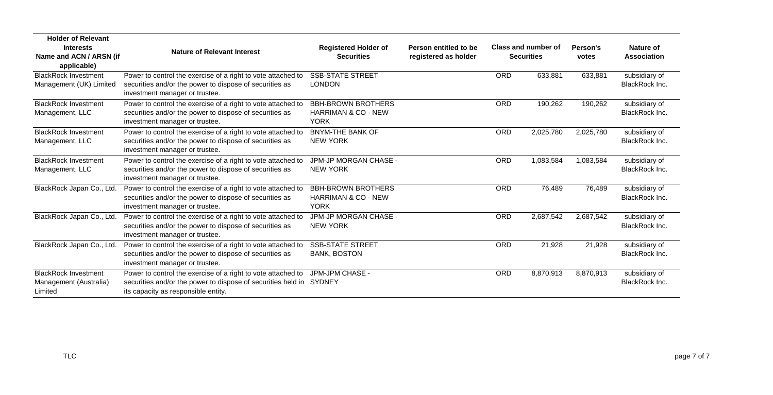| <b>Holder of Relevant</b><br><b>Interests</b><br>Name and ACN / ARSN (if<br>applicable) | <b>Nature of Relevant Interest</b>                                                                                                                                         | <b>Registered Holder of</b><br><b>Securities</b>                           | Person entitled to be<br>registered as holder |            | Class and number of<br><b>Securities</b> | Person's<br>votes | Nature of<br><b>Association</b>        |
|-----------------------------------------------------------------------------------------|----------------------------------------------------------------------------------------------------------------------------------------------------------------------------|----------------------------------------------------------------------------|-----------------------------------------------|------------|------------------------------------------|-------------------|----------------------------------------|
| <b>BlackRock Investment</b><br>Management (UK) Limited                                  | Power to control the exercise of a right to vote attached to<br>securities and/or the power to dispose of securities as<br>investment manager or trustee.                  | <b>SSB-STATE STREET</b><br><b>LONDON</b>                                   |                                               | ORD        | 633,881                                  | 633,881           | subsidiary of<br><b>BlackRock Inc.</b> |
| <b>BlackRock Investment</b><br>Management, LLC                                          | Power to control the exercise of a right to vote attached to<br>securities and/or the power to dispose of securities as<br>investment manager or trustee.                  | <b>BBH-BROWN BROTHERS</b><br><b>HARRIMAN &amp; CO - NEW</b><br><b>YORK</b> |                                               | <b>ORD</b> | 190,262                                  | 190,262           | subsidiary of<br><b>BlackRock Inc.</b> |
| <b>BlackRock Investment</b><br>Management, LLC                                          | Power to control the exercise of a right to vote attached to<br>securities and/or the power to dispose of securities as<br>investment manager or trustee.                  | <b>BNYM-THE BANK OF</b><br><b>NEW YORK</b>                                 |                                               | <b>ORD</b> | 2,025,780                                | 2,025,780         | subsidiary of<br><b>BlackRock Inc.</b> |
| <b>BlackRock Investment</b><br>Management, LLC                                          | Power to control the exercise of a right to vote attached to<br>securities and/or the power to dispose of securities as<br>investment manager or trustee.                  | JPM-JP MORGAN CHASE -<br><b>NEW YORK</b>                                   |                                               | <b>ORD</b> | 1,083,584                                | 1,083,584         | subsidiary of<br>BlackRock Inc.        |
| BlackRock Japan Co., Ltd.                                                               | Power to control the exercise of a right to vote attached to<br>securities and/or the power to dispose of securities as<br>investment manager or trustee.                  | <b>BBH-BROWN BROTHERS</b><br><b>HARRIMAN &amp; CO - NEW</b><br><b>YORK</b> |                                               | ORD        | 76,489                                   | 76,489            | subsidiary of<br><b>BlackRock Inc.</b> |
| BlackRock Japan Co., Ltd.                                                               | Power to control the exercise of a right to vote attached to<br>securities and/or the power to dispose of securities as<br>investment manager or trustee.                  | JPM-JP MORGAN CHASE -<br><b>NEW YORK</b>                                   |                                               | <b>ORD</b> | 2,687,542                                | 2,687,542         | subsidiary of<br>BlackRock Inc.        |
| BlackRock Japan Co., Ltd.                                                               | Power to control the exercise of a right to vote attached to<br>securities and/or the power to dispose of securities as<br>investment manager or trustee.                  | <b>SSB-STATE STREET</b><br><b>BANK, BOSTON</b>                             |                                               | ORD        | 21,928                                   | 21,928            | subsidiary of<br><b>BlackRock Inc.</b> |
| <b>BlackRock Investment</b><br>Management (Australia)<br>Limited                        | Power to control the exercise of a right to vote attached to<br>securities and/or the power to dispose of securities held in SYDNEY<br>its capacity as responsible entity. | JPM-JPM CHASE -                                                            |                                               | <b>ORD</b> | 8,870,913                                | 8,870,913         | subsidiary of<br>BlackRock Inc.        |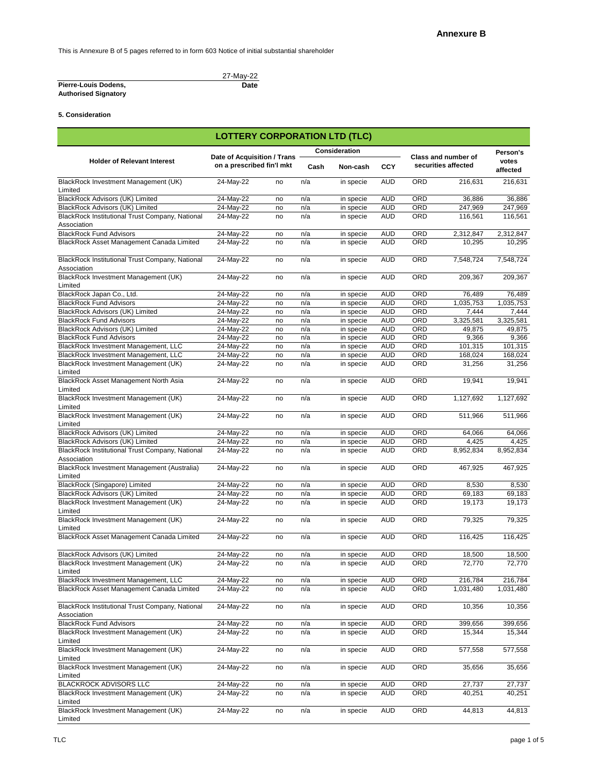This is Annexure B of 5 pages referred to in form 603 Notice of initial substantial shareholder

## **Pierre-Louis Dodens, Authorised Signatory**

27-May-22 **Date**

# **5. Consideration**

|                                                                       | <b>LOTTERY CORPORATION LTD (TLC)</b>                            |    |      |                      |            |            |                                                   |                   |
|-----------------------------------------------------------------------|-----------------------------------------------------------------|----|------|----------------------|------------|------------|---------------------------------------------------|-------------------|
|                                                                       |                                                                 |    |      | <b>Consideration</b> |            |            |                                                   |                   |
| <b>Holder of Relevant Interest</b>                                    | <b>Date of Acquisition / Trans</b><br>on a prescribed fin'l mkt |    | Cash | Non-cash             | <b>CCY</b> |            | <b>Class and number of</b><br>securities affected | votes<br>affected |
| BlackRock Investment Management (UK)<br>Limited                       | 24-May-22                                                       | no | n/a  | in specie            | <b>AUD</b> | <b>ORD</b> | 216,631                                           | 216,631           |
| BlackRock Advisors (UK) Limited                                       | 24-May-22                                                       | no | n/a  | in specie            | AUD        | ORD        | 36,886                                            | 36,886            |
| BlackRock Advisors (UK) Limited                                       | 24-May-22                                                       | no | n/a  | in specie            | <b>AUD</b> | <b>ORD</b> | 247,969                                           | 247,969           |
| BlackRock Institutional Trust Company, National                       | 24-May-22                                                       | no | n/a  | in specie            | <b>AUD</b> | <b>ORD</b> | 116,561                                           | 116,561           |
| Association                                                           |                                                                 |    |      |                      |            |            |                                                   |                   |
| <b>BlackRock Fund Advisors</b>                                        | 24-May-22                                                       | no | n/a  | in specie            | <b>AUD</b> | ORD        | 2,312,847                                         | 2,312,847         |
| BlackRock Asset Management Canada Limited                             | 24-May-22                                                       | no | n/a  | in specie            | <b>AUD</b> | <b>ORD</b> | 10,295                                            | 10,295            |
| BlackRock Institutional Trust Company, National<br>Association        | 24-May-22                                                       | no | n/a  | in specie            | <b>AUD</b> | ORD        | 7,548,724                                         | 7,548,724         |
| BlackRock Investment Management (UK)<br>Limited                       | 24-May-22                                                       | no | n/a  | in specie            | <b>AUD</b> | ORD        | 209,367                                           | 209,367           |
| BlackRock Japan Co., Ltd.                                             | 24-May-22                                                       | no | n/a  | in specie            | <b>AUD</b> | ORD        | 76,489                                            | 76,489            |
| <b>BlackRock Fund Advisors</b>                                        | 24-May-22                                                       | no | n/a  | in specie            | <b>AUD</b> | ORD        | 1,035,753                                         | 1,035,753         |
| BlackRock Advisors (UK) Limited                                       | 24-May-22                                                       | no | n/a  | in specie            | <b>AUD</b> | ORD        | 7,444                                             | 7,444             |
| <b>BlackRock Fund Advisors</b>                                        | 24-May-22                                                       | no | n/a  | in specie            | <b>AUD</b> | ORD        | 3,325,581                                         | 3,325,581         |
| BlackRock Advisors (UK) Limited                                       | 24-May-22                                                       | no | n/a  | in specie            | <b>AUD</b> | ORD        | 49,875                                            | 49,875            |
| <b>BlackRock Fund Advisors</b>                                        | 24-May-22                                                       | no | n/a  | in specie            | <b>AUD</b> | <b>ORD</b> | 9,366                                             | 9,366             |
| BlackRock Investment Management, LLC                                  | 24-May-22                                                       | no | n/a  | in specie            | <b>AUD</b> | <b>ORD</b> | 101,315                                           | 101,315           |
| BlackRock Investment Management, LLC                                  | 24-May-22                                                       | no | n/a  | in specie            | <b>AUD</b> | <b>ORD</b> | 168,024                                           | 168,024           |
| BlackRock Investment Management (UK)                                  | 24-May-22                                                       | no | n/a  | in specie            | <b>AUD</b> | ORD        | 31,256                                            | 31,256            |
| Limited<br>BlackRock Asset Management North Asia<br>Limited           | 24-May-22                                                       | no | n/a  | in specie            | <b>AUD</b> | <b>ORD</b> | 19,941                                            | 19,941            |
| BlackRock Investment Management (UK)<br>Limited                       | 24-May-22                                                       | no | n/a  | in specie            | <b>AUD</b> | ORD        | 1,127,692                                         | 1,127,692         |
| BlackRock Investment Management (UK)<br>Limited                       | 24-May-22                                                       | no | n/a  | in specie            | <b>AUD</b> | ORD        | 511,966                                           | 511,966           |
| <b>BlackRock Advisors (UK) Limited</b>                                | 24-May-22                                                       | no | n/a  | in specie            | <b>AUD</b> | ORD        | 64,066                                            | 64,066            |
| <b>BlackRock Advisors (UK) Limited</b>                                | 24-May-22                                                       | no | n/a  | in specie            | <b>AUD</b> | ORD        | 4,425                                             | 4,425             |
| BlackRock Institutional Trust Company, National                       | 24-May-22                                                       | no | n/a  | in specie            | <b>AUD</b> | ORD        | 8,952,834                                         | 8,952,834         |
| Association<br>BlackRock Investment Management (Australia)<br>Limited | 24-May-22                                                       | no | n/a  | in specie            | <b>AUD</b> | ORD        | 467,925                                           | 467,925           |
| BlackRock (Singapore) Limited                                         | 24-May-22                                                       | no | n/a  | in specie            | <b>AUD</b> | <b>ORD</b> | 8,530                                             | 8,530             |
| BlackRock Advisors (UK) Limited                                       | 24-May-22                                                       | no | n/a  | in specie            | <b>AUD</b> | ORD        | 69,183                                            | 69,183            |
| BlackRock Investment Management (UK)<br>Limited                       | 24-May-22                                                       | no | n/a  | in specie            | <b>AUD</b> | ORD        | 19,173                                            | 19,173            |
| BlackRock Investment Management (UK)                                  | 24-May-22                                                       | no | n/a  | in specie            | <b>AUD</b> | ORD        | 79,325                                            | 79,325            |
| Limited<br>BlackRock Asset Management Canada Limited                  | 24-May-22                                                       | no | n/a  | in specie            | <b>AUD</b> | ORD        | 116,425                                           | 116,425           |
|                                                                       |                                                                 |    |      |                      |            |            |                                                   |                   |
| BlackRock Advisors (UK) Limited                                       | 24-May-22                                                       | no | n/a  | in specie            | <b>AUD</b> | ORD        | 18,500                                            | 18,500            |
| BlackRock Investment Management (UK)<br>Limited                       | 24-May-22                                                       | no | n/a  | in specie            | <b>AUD</b> | ORD        | 72,770                                            | 72,770            |
| BlackRock Investment Management, LLC                                  | 24-May-22                                                       | no | n/a  | in specie            | <b>AUD</b> | ORD        | 216,784                                           | 216,784           |
| BlackRock Asset Management Canada Limited                             | 24-May-22                                                       | no | n/a  | in specie            | <b>AUD</b> | ORD        | 1,031,480                                         | 1,031,480         |
| BlackRock Institutional Trust Company, National<br>Association        | 24-May-22                                                       | no | n/a  | in specie            | <b>AUD</b> | ORD        | 10,356                                            | 10,356            |
| <b>BlackRock Fund Advisors</b>                                        | 24-May-22                                                       | no | n/a  | in specie            | <b>AUD</b> | ORD        | 399,656                                           | 399,656           |
| BlackRock Investment Management (UK)                                  | 24-May-22                                                       | no | n/a  | in specie            | <b>AUD</b> | ORD        | 15,344                                            | 15,344            |
| Limited<br>BlackRock Investment Management (UK)                       | 24-May-22                                                       | no | n/a  | in specie            | <b>AUD</b> | ORD        | 577,558                                           | 577,558           |
| Limited                                                               |                                                                 |    |      |                      |            |            |                                                   |                   |
| BlackRock Investment Management (UK)<br>Limited                       | 24-May-22                                                       | no | n/a  | in specie            | <b>AUD</b> | ORD        | 35,656                                            | 35,656            |
| <b>BLACKROCK ADVISORS LLC</b>                                         | 24-May-22                                                       | no | n/a  | in specie            | <b>AUD</b> | ORD        | 27,737                                            | 27,737            |
| BlackRock Investment Management (UK)<br>Limited                       | 24-May-22                                                       | no | n/a  | in specie            | <b>AUD</b> | ORD        | 40,251                                            | 40,251            |
| BlackRock Investment Management (UK)<br>Limited                       | 24-May-22                                                       | no | n/a  | in specie            | <b>AUD</b> | ORD        | 44,813                                            | 44,813            |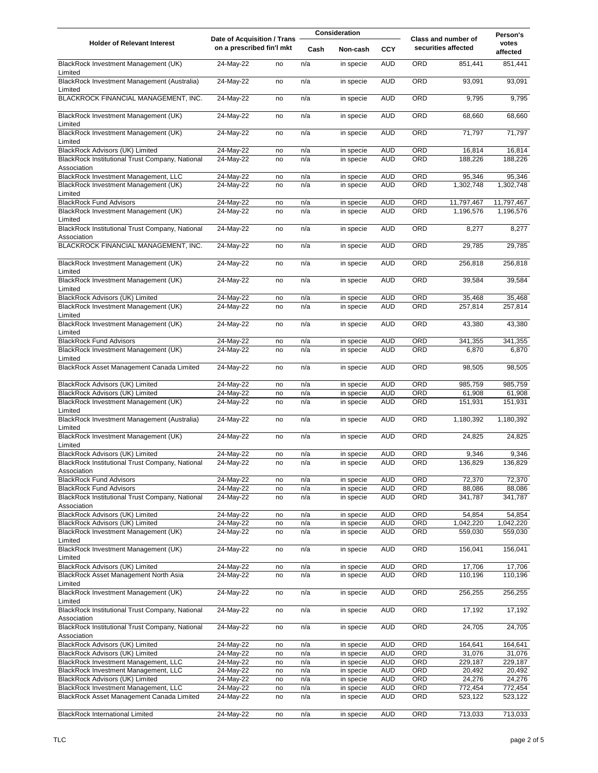|                                                                                         | Date of Acquisition / Trans |          | <b>Consideration</b> |                        |                          |            | Person's                                   |                     |
|-----------------------------------------------------------------------------------------|-----------------------------|----------|----------------------|------------------------|--------------------------|------------|--------------------------------------------|---------------------|
| <b>Holder of Relevant Interest</b>                                                      | on a prescribed fin'l mkt   |          | Cash                 | Non-cash               | <b>CCY</b>               |            | Class and number of<br>securities affected | votes<br>affected   |
| BlackRock Investment Management (UK)<br>Limited                                         | 24-May-22                   | no       | n/a                  | in specie              | <b>AUD</b>               | ORD        | 851,441                                    | 851,441             |
| BlackRock Investment Management (Australia)<br>Limited                                  | 24-May-22                   | no       | n/a                  | in specie              | <b>AUD</b>               | ORD        | 93,091                                     | 93,091              |
| BLACKROCK FINANCIAL MANAGEMENT, INC.                                                    | 24-May-22                   | no       | n/a                  | in specie              | <b>AUD</b>               | ORD        | 9,795                                      | 9,795               |
| BlackRock Investment Management (UK)<br>Limited                                         | 24-May-22                   | no       | n/a                  | in specie              | <b>AUD</b>               | ORD        | 68,660                                     | 68,660              |
| BlackRock Investment Management (UK)<br>Limited                                         | 24-May-22                   | no       | n/a                  | in specie              | <b>AUD</b>               | ORD        | 71,797                                     | 71,797              |
| <b>BlackRock Advisors (UK) Limited</b>                                                  | 24-May-22                   | no       | n/a                  | in specie              | <b>AUD</b>               | ORD        | 16,814                                     | 16,814              |
| BlackRock Institutional Trust Company, National<br>Association                          | 24-May-22                   | no       | n/a                  | in specie              | <b>AUD</b>               | ORD        | 188,226                                    | 188,226             |
| BlackRock Investment Management, LLC<br>BlackRock Investment Management (UK)<br>Limited | 24-May-22<br>24-May-22      | no<br>no | n/a<br>n/a           | in specie<br>in specie | <b>AUD</b><br><b>AUD</b> | ORD<br>ORD | 95,346<br>1,302,748                        | 95,346<br>1,302,748 |
| <b>BlackRock Fund Advisors</b>                                                          | 24-May-22                   | no       | n/a                  | in specie              | <b>AUD</b>               | ORD        | 11,797,467                                 | 11,797,467          |
| BlackRock Investment Management (UK)<br>Limited                                         | 24-May-22                   | no       | n/a                  | in specie              | <b>AUD</b>               | ORD        | 1,196,576                                  | 1,196,576           |
| BlackRock Institutional Trust Company, National<br>Association                          | 24-May-22                   | no       | n/a                  | in specie              | <b>AUD</b>               | ORD        | 8,277                                      | 8,277               |
| BLACKROCK FINANCIAL MANAGEMENT, INC.                                                    | 24-May-22                   | no       | n/a                  | in specie              | <b>AUD</b>               | ORD        | 29,785                                     | 29,785              |
| BlackRock Investment Management (UK)<br>Limited                                         | 24-May-22                   | no       | n/a                  | in specie              | <b>AUD</b>               | ORD        | 256,818                                    | 256,818             |
| BlackRock Investment Management (UK)<br>Limited                                         | 24-May-22                   | no       | n/a                  | in specie              | <b>AUD</b>               | ORD        | 39,584                                     | 39,584              |
| BlackRock Advisors (UK) Limited                                                         | 24-May-22                   | no       | n/a                  | in specie              | <b>AUD</b>               | ORD        | 35,468                                     | 35,468              |
| BlackRock Investment Management (UK)<br>Limited                                         | 24-May-22                   | no       | n/a                  | in specie              | <b>AUD</b>               | ORD        | 257,814                                    | 257,814             |
| BlackRock Investment Management (UK)<br>Limited                                         | 24-May-22                   | no       | n/a                  | in specie              | <b>AUD</b>               | ORD        | 43,380                                     | 43,380              |
| <b>BlackRock Fund Advisors</b>                                                          | 24-May-22                   | no       | n/a                  | in specie              | <b>AUD</b>               | ORD        | 341,355                                    | 341,355             |
| BlackRock Investment Management (UK)<br>Limited                                         | 24-May-22                   | no       | n/a                  | in specie              | <b>AUD</b>               | ORD        | 6,870                                      | 6,870               |
| BlackRock Asset Management Canada Limited                                               | 24-May-22                   | no       | n/a                  | in specie              | <b>AUD</b>               | <b>ORD</b> | 98,505                                     | 98,505              |
| BlackRock Advisors (UK) Limited                                                         | 24-May-22                   | no       | n/a                  | in specie              | AUD                      | <b>ORD</b> | 985,759                                    | 985,759             |
| BlackRock Advisors (UK) Limited                                                         | 24-May-22                   | no       | n/a                  | in specie              | <b>AUD</b>               | ORD        | 61,908                                     | 61,908              |
| BlackRock Investment Management (UK)                                                    | 24-May-22                   | no       | n/a                  | in specie              | <b>AUD</b>               | ORD        | 151,931                                    | 151,931             |
| Limited<br>BlackRock Investment Management (Australia)                                  | 24-May-22                   | no       | n/a                  | in specie              | <b>AUD</b>               | ORD        | 1,180,392                                  | 1,180,392           |
| Limited<br>BlackRock Investment Management (UK)                                         | 24-May-22                   | no       | n/a                  | in specie              | <b>AUD</b>               | ORD        | 24,825                                     | 24,825              |
| Limited<br><b>BlackRock Advisors (UK) Limited</b>                                       | 24-May-22                   | no       | n/a                  |                        | <b>AUD</b>               | ORD        | 9,346                                      | 9,346               |
| BlackRock Institutional Trust Company, National<br>Association                          | 24-May-22                   | no       | n/a                  | in specie<br>in specie | <b>AUD</b>               | ORD        | 136,829                                    | 136,829             |
| <b>BlackRock Fund Advisors</b>                                                          | 24-May-22                   | no       | n/a                  | in specie              | <b>AUD</b>               | ORD        | 72,370                                     | 72,370              |
| <b>BlackRock Fund Advisors</b>                                                          | 24-May-22                   | no       | n/a                  | in specie              | <b>AUD</b>               | ORD        | 88,086                                     | 88,086              |
| BlackRock Institutional Trust Company, National<br>Association                          | 24-May-22                   | no       | n/a                  | in specie              | <b>AUD</b>               | ORD        | 341,787                                    | 341,787             |
| <b>BlackRock Advisors (UK) Limited</b>                                                  | 24-May-22                   | no       | n/a                  | in specie              | <b>AUD</b>               | ORD        | 54,854                                     | 54,854              |
| <b>BlackRock Advisors (UK) Limited</b>                                                  | 24-May-22                   | no       | n/a                  | in specie              | <b>AUD</b>               | ORD        | 1,042,220                                  | 1,042,220           |
| BlackRock Investment Management (UK)<br>Limited                                         | 24-May-22                   | no       | n/a                  | in specie              | <b>AUD</b>               | ORD        | 559,030                                    | 559,030             |
| BlackRock Investment Management (UK)<br>Limited                                         | 24-May-22                   | no       | n/a                  | in specie              | <b>AUD</b>               | ORD        | 156,041                                    | 156,041             |
| BlackRock Advisors (UK) Limited                                                         | 24-May-22                   | no       | n/a                  | in specie              | <b>AUD</b>               | ORD        | 17,706                                     | 17,706              |
| BlackRock Asset Management North Asia<br>Limited                                        | 24-May-22                   | no       | n/a                  | in specie              | <b>AUD</b>               | ORD        | 110,196                                    | 110,196             |
| BlackRock Investment Management (UK)<br>Limited                                         | 24-May-22                   | no       | n/a                  | in specie              | <b>AUD</b>               | ORD        | 256,255                                    | 256,255             |
| BlackRock Institutional Trust Company, National<br>Association                          | 24-May-22                   | no       | n/a                  | in specie              | <b>AUD</b>               | ORD        | 17,192                                     | 17,192              |
| BlackRock Institutional Trust Company, National<br>Association                          | 24-May-22                   | no       | n/a                  | in specie              | <b>AUD</b>               | ORD        | 24,705                                     | 24,705              |
| BlackRock Advisors (UK) Limited                                                         | 24-May-22                   | no       | n/a                  | in specie              | <b>AUD</b>               | ORD        | 164,641                                    | 164,641             |
| BlackRock Advisors (UK) Limited                                                         | 24-May-22                   | no       | n/a                  | in specie              | <b>AUD</b>               | ORD        | 31,076                                     | 31,076              |
| BlackRock Investment Management, LLC                                                    | 24-May-22                   | no       | n/a                  | in specie              | <b>AUD</b>               | ORD        | 229,187                                    | 229,187             |
| BlackRock Investment Management, LLC                                                    | 24-May-22                   | no       | n/a                  | in specie              | <b>AUD</b>               | ORD        | 20,492                                     | 20,492              |
| BlackRock Advisors (UK) Limited                                                         | 24-May-22                   | no       | n/a                  | in specie              | <b>AUD</b>               | ORD        | 24,276                                     | 24,276              |
| BlackRock Investment Management, LLC                                                    | 24-May-22                   | no       | n/a                  | in specie              | <b>AUD</b>               | ORD        | 772,454                                    | 772,454             |
| BlackRock Asset Management Canada Limited                                               | 24-May-22                   | no       | n/a                  | in specie              | <b>AUD</b>               | ORD        | 523,122                                    | 523,122             |
| <b>BlackRock International Limited</b>                                                  | $24$ -May-22                | no       | n/a                  | in specie              | <b>AUD</b>               | ORD        | 713,033                                    | 713,033             |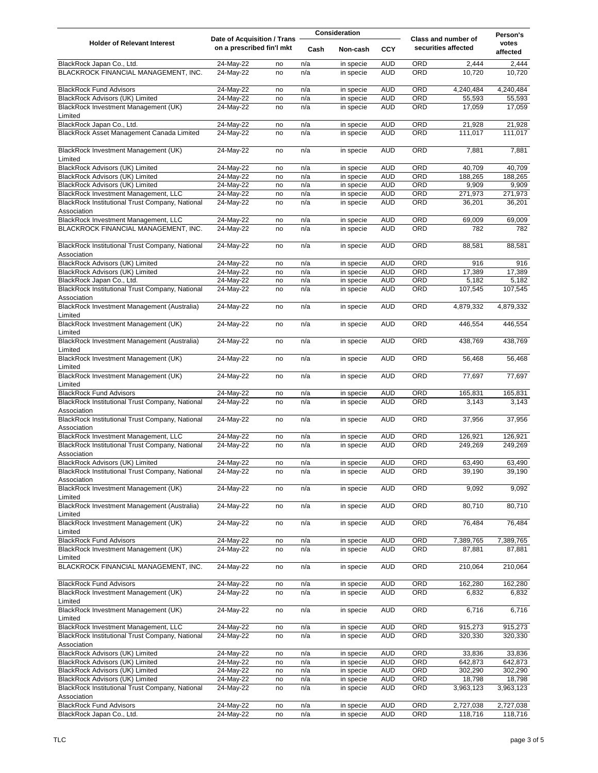|                                                                                         | <b>Date of Acquisition / Trans</b> |          | <b>Consideration</b> |                        |                          |            | Person's                                          |                    |
|-----------------------------------------------------------------------------------------|------------------------------------|----------|----------------------|------------------------|--------------------------|------------|---------------------------------------------------|--------------------|
| <b>Holder of Relevant Interest</b>                                                      | on a prescribed fin'l mkt          |          | Cash                 | Non-cash               | <b>CCY</b>               |            | <b>Class and number of</b><br>securities affected | votes<br>affected  |
| BlackRock Japan Co., Ltd.                                                               | 24-May-22                          | no       | n/a                  | in specie              | <b>AUD</b>               | <b>ORD</b> | 2,444                                             | 2,444              |
| BLACKROCK FINANCIAL MANAGEMENT, INC.                                                    | 24-May-22                          | no       | n/a                  | in specie              | <b>AUD</b>               | ORD        | 10,720                                            | 10,720             |
| <b>BlackRock Fund Advisors</b>                                                          | 24-May-22                          | no       | n/a                  | in specie              | <b>AUD</b>               | ORD        | 4,240,484                                         | 4,240,484          |
| BlackRock Advisors (UK) Limited                                                         | 24-May-22                          | no       | n/a                  | in specie              | <b>AUD</b>               | <b>ORD</b> | 55,593                                            | 55,593             |
| BlackRock Investment Management (UK)                                                    | 24-May-22                          | no       | n/a                  | in specie              | <b>AUD</b>               | ORD        | 17,059                                            | 17,059             |
| Limited                                                                                 |                                    |          |                      |                        |                          |            |                                                   |                    |
| BlackRock Japan Co., Ltd.                                                               | 24-May-22                          | no       | n/a                  | in specie              | <b>AUD</b>               | ORD        | 21,928                                            | 21,928             |
| BlackRock Asset Management Canada Limited                                               | 24-May-22                          | no       | n/a                  | in specie              | <b>AUD</b>               | ORD        | 111,017                                           | 111,017            |
| BlackRock Investment Management (UK)<br>Limited                                         | 24-May-22                          | no       | n/a                  | in specie              | <b>AUD</b>               | ORD        | 7,881                                             | 7,881              |
| BlackRock Advisors (UK) Limited                                                         | 24-May-22                          | no       | n/a                  | in specie              | <b>AUD</b>               | ORD        | 40,709                                            | 40,709             |
| BlackRock Advisors (UK) Limited                                                         | 24-May-22                          | no       | n/a                  | in specie              | <b>AUD</b>               | ORD        | 188,265                                           | 188,265            |
| <b>BlackRock Advisors (UK) Limited</b>                                                  | 24-May-22                          | no       | n/a                  | in specie              | <b>AUD</b>               | ORD        | 9,909                                             | 9,909              |
| BlackRock Investment Management, LLC                                                    | 24-May-22                          | no       | n/a                  | in specie              | <b>AUD</b>               | ORD        | 271,973                                           | 271,973            |
| BlackRock Institutional Trust Company, National<br>Association                          | 24-May-22                          | no       | n/a                  | in specie              | <b>AUD</b>               | ORD        | 36,201                                            | 36,201             |
| BlackRock Investment Management, LLC                                                    | 24-May-22                          | no       | n/a                  | in specie              | <b>AUD</b>               | ORD        | 69,009                                            | 69,009             |
| BLACKROCK FINANCIAL MANAGEMENT, INC.                                                    | 24-May-22                          | no       | n/a                  | in specie              | <b>AUD</b>               | <b>ORD</b> | 782                                               | 782                |
| BlackRock Institutional Trust Company, National<br>Association                          | 24-May-22                          | no       | n/a                  | in specie              | <b>AUD</b>               | <b>ORD</b> | 88,581                                            | 88,581             |
| BlackRock Advisors (UK) Limited                                                         | 24-May-22                          | no       | n/a                  | in specie              | <b>AUD</b>               | ORD        | 916                                               | 916                |
| BlackRock Advisors (UK) Limited                                                         | 24-May-22                          | no       | n/a                  | in specie              | <b>AUD</b>               | ORD        | 17,389                                            | 17,389             |
| BlackRock Japan Co., Ltd.                                                               | 24-May-22                          | no       | n/a                  | in specie              | <b>AUD</b>               | ORD        | 5,182                                             | 5,182              |
| BlackRock Institutional Trust Company, National<br>Association                          | 24-May-22                          | no       | n/a                  | in specie              | <b>AUD</b>               | ORD        | 107,545                                           | 107,545            |
| BlackRock Investment Management (Australia)<br>Limited                                  | 24-May-22                          | no       | n/a                  | in specie              | <b>AUD</b>               | ORD        | 4,879,332                                         | 4,879,332          |
| BlackRock Investment Management (UK)<br>Limited                                         | 24-May-22                          | no       | n/a                  | in specie              | <b>AUD</b>               | ORD        | 446,554                                           | 446,554            |
| BlackRock Investment Management (Australia)<br>Limited                                  | 24-May-22                          | no       | n/a                  | in specie              | <b>AUD</b>               | ORD        | 438,769                                           | 438,769            |
| BlackRock Investment Management (UK)<br>Limited                                         | 24-May-22                          | no       | n/a                  | in specie              | <b>AUD</b>               | ORD        | 56,468                                            | 56,468             |
| BlackRock Investment Management (UK)<br>Limited                                         | 24-May-22                          | no       | n/a                  | in specie              | <b>AUD</b>               | ORD        | 77,697                                            | 77,697             |
| <b>BlackRock Fund Advisors</b>                                                          | 24-May-22                          | no       | n/a                  | in specie              | <b>AUD</b>               | <b>ORD</b> | 165,831                                           | 165,831            |
| BlackRock Institutional Trust Company, National<br>Association                          | 24-May-22                          | no       | n/a                  | in specie              | <b>AUD</b>               | ORD        | 3,143                                             | 3,143              |
| BlackRock Institutional Trust Company, National<br>Association                          | 24-May-22                          | no       | n/a                  | in specie              | <b>AUD</b>               | ORD        | 37,956                                            | 37,956             |
| BlackRock Investment Management, LLC                                                    | 24-May-22                          | no       | n/a                  | in specie              | <b>AUD</b>               | ORD        | 126,921                                           | 126,921            |
| BlackRock Institutional Trust Company, National<br>Association                          | 24-May-22                          | no       | n/a                  | in specie              | <b>AUD</b>               | <b>ORD</b> | 249,269                                           | 249,269            |
| BlackRock Advisors (UK) Limited                                                         | 24-May-22                          | no       | n/a                  | in specie              | <b>AUD</b>               | <b>ORD</b> | 63,490                                            | 63,490             |
| BlackRock Institutional Trust Company, National<br>Association                          | 24-May-22                          | no       | n/a                  | in specie              | <b>AUD</b>               | ORD        | 39,190                                            | 39,190             |
| BlackRock Investment Management (UK)                                                    | 24-May-22                          | no       | n/a                  | in specie              | <b>AUD</b>               | ORD        | 9,092                                             | 9,092              |
| Limited<br>BlackRock Investment Management (Australia)                                  | 24-May-22                          | no       | n/a                  | in specie              | <b>AUD</b>               | ORD        | 80,710                                            | 80,710             |
| Limited<br>BlackRock Investment Management (UK)                                         | 24-May-22                          | no       | n/a                  | in specie              | <b>AUD</b>               | ORD        | 76,484                                            | 76,484             |
| Limited<br><b>BlackRock Fund Advisors</b>                                               | 24-May-22                          |          | n/a                  | in specie              | <b>AUD</b>               | <b>ORD</b> | 7,389,765                                         | 7,389,765          |
| BlackRock Investment Management (UK)<br>Limited                                         | 24-May-22                          | no<br>no | n/a                  | in specie              | <b>AUD</b>               | ORD        | 87,881                                            | 87,881             |
| BLACKROCK FINANCIAL MANAGEMENT, INC.                                                    | 24-May-22                          | no       | n/a                  | in specie              | <b>AUD</b>               | ORD        | 210,064                                           | 210,064            |
| <b>BlackRock Fund Advisors</b><br>BlackRock Investment Management (UK)                  | 24-May-22<br>24-May-22             | no<br>no | n/a<br>n/a           | in specie<br>in specie | <b>AUD</b><br><b>AUD</b> | ORD<br>ORD | 162,280<br>6,832                                  | 162,280<br>6,832   |
| Limited                                                                                 |                                    |          |                      |                        |                          |            |                                                   |                    |
| BlackRock Investment Management (UK)<br>Limited                                         | 24-May-22                          | no       | n/a                  | in specie              | <b>AUD</b>               | ORD        | 6,716                                             | 6,716              |
| BlackRock Investment Management, LLC<br>BlackRock Institutional Trust Company, National | 24-May-22<br>24-May-22             | no<br>no | n/a<br>n/a           | in specie<br>in specie | <b>AUD</b><br><b>AUD</b> | ORD<br>ORD | 915,273<br>320,330                                | 915,273<br>320,330 |
| Association<br>BlackRock Advisors (UK) Limited                                          | 24-May-22                          | no       | n/a                  | in specie              | <b>AUD</b>               | ORD        | 33,836                                            | 33,836             |
| BlackRock Advisors (UK) Limited                                                         | 24-May-22                          | no       | n/a                  | in specie              | <b>AUD</b>               | ORD        | 642,873                                           | 642,873            |
| BlackRock Advisors (UK) Limited                                                         | 24-May-22                          | no       | n/a                  | in specie              | <b>AUD</b>               | ORD        | 302,290                                           | 302,290            |
| BlackRock Advisors (UK) Limited                                                         | 24-May-22                          | no       | n/a                  | in specie              | <b>AUD</b>               | ORD        | 18,798                                            | 18,798             |
| BlackRock Institutional Trust Company, National<br>Association                          | 24-May-22                          | no       | n/a                  | in specie              | <b>AUD</b>               | ORD        | 3,963,123                                         | 3,963,123          |
| <b>BlackRock Fund Advisors</b>                                                          | 24-May-22                          | no       | n/a                  | in specie              | <b>AUD</b>               | ORD        | 2,727,038                                         | 2,727,038          |
| BlackRock Japan Co., Ltd.                                                               | 24-May-22                          | no       | n/a                  | in specie              | <b>AUD</b>               | ORD        | 118,716                                           | 118,716            |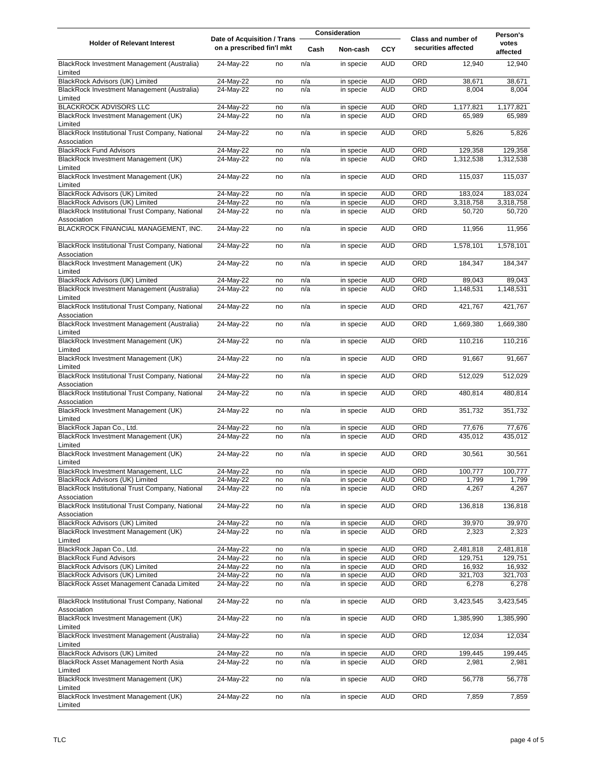| <b>Date of Acquisition / Trans</b>                                                  |                           |          | <b>Consideration</b> |                        |                          | Person's   |                                                   |                   |
|-------------------------------------------------------------------------------------|---------------------------|----------|----------------------|------------------------|--------------------------|------------|---------------------------------------------------|-------------------|
| <b>Holder of Relevant Interest</b>                                                  | on a prescribed fin'l mkt |          | Cash                 | Non-cash               | <b>CCY</b>               |            | <b>Class and number of</b><br>securities affected | votes<br>affected |
| BlackRock Investment Management (Australia)<br>Limited                              | 24-May-22                 | no       | n/a                  | in specie              | <b>AUD</b>               | ORD        | 12,940                                            | 12,940            |
| <b>BlackRock Advisors (UK) Limited</b>                                              | 24-May-22                 | no       | n/a                  | in specie              | <b>AUD</b>               | <b>ORD</b> | 38,671                                            | 38,671            |
| BlackRock Investment Management (Australia)<br>Limited                              | 24-May-22                 | no       | n/a                  | in specie              | <b>AUD</b>               | ORD        | 8,004                                             | 8,004             |
| <b>BLACKROCK ADVISORS LLC</b>                                                       | 24-May-22                 | no       | n/a                  | in specie              | <b>AUD</b>               | ORD        | 1,177,821                                         | 1,177,821         |
| BlackRock Investment Management (UK)<br>Limited                                     | 24-May-22                 | no       | n/a                  | in specie              | <b>AUD</b>               | <b>ORD</b> | 65,989                                            | 65,989            |
| BlackRock Institutional Trust Company, National<br>Association                      | 24-May-22                 | no       | n/a                  | in specie              | <b>AUD</b>               | ORD        | 5,826                                             | 5,826             |
| <b>BlackRock Fund Advisors</b>                                                      | 24-May-22                 | no       | n/a                  | in specie              | <b>AUD</b>               | ORD        | 129,358                                           | 129,358           |
| BlackRock Investment Management (UK)<br>Limited                                     | 24-May-22                 | no       | n/a                  | in specie              | <b>AUD</b>               | ORD        | 1,312,538                                         | 1,312,538         |
| BlackRock Investment Management (UK)<br>Limited                                     | 24-May-22                 | no       | n/a                  | in specie              | <b>AUD</b>               | ORD        | 115,037                                           | 115,037           |
| <b>BlackRock Advisors (UK) Limited</b>                                              | 24-May-22                 | no       | n/a                  | in specie              | <b>AUD</b>               | ORD        | 183,024                                           | 183,024           |
| <b>BlackRock Advisors (UK) Limited</b>                                              | 24-May-22                 | no       | n/a                  | in specie              | <b>AUD</b>               | ORD        | 3,318,758                                         | 3,318,758         |
| BlackRock Institutional Trust Company, National<br>Association                      | 24-May-22                 | no       | n/a                  | in specie              | <b>AUD</b>               | ORD        | 50,720                                            | 50,720            |
| BLACKROCK FINANCIAL MANAGEMENT, INC.                                                | 24-May-22                 | no       | n/a                  | in specie              | <b>AUD</b>               | ORD        | 11,956                                            | 11,956            |
| BlackRock Institutional Trust Company, National<br>Association                      | 24-May-22                 | no       | n/a                  | in specie              | <b>AUD</b>               | <b>ORD</b> | 1,578,101                                         | 1,578,101         |
| BlackRock Investment Management (UK)<br>Limited                                     | 24-May-22                 | no       | n/a                  | in specie              | <b>AUD</b>               | <b>ORD</b> | 184,347                                           | 184,347           |
| BlackRock Advisors (UK) Limited                                                     | 24-May-22                 | no       | n/a                  | in specie              | <b>AUD</b>               | ORD        | 89,043                                            | 89,043            |
| BlackRock Investment Management (Australia)<br>Limited                              | 24-May-22                 | no       | n/a                  | in specie              | <b>AUD</b>               | ORD        | 1,148,531                                         | 1,148,531         |
| BlackRock Institutional Trust Company, National<br>Association                      | 24-May-22                 | no       | n/a                  | in specie              | <b>AUD</b>               | ORD        | 421,767                                           | 421,767           |
| BlackRock Investment Management (Australia)<br>Limited                              | 24-May-22                 | no       | n/a                  | in specie              | <b>AUD</b>               | ORD        | 1,669,380                                         | 1,669,380         |
| BlackRock Investment Management (UK)<br>Limited                                     | 24-May-22                 | no       | n/a                  | in specie              | <b>AUD</b>               | ORD        | 110,216                                           | 110,216           |
| BlackRock Investment Management (UK)<br>Limited                                     | 24-May-22                 | no       | n/a                  | in specie              | <b>AUD</b>               | ORD        | 91,667                                            | 91,667            |
| BlackRock Institutional Trust Company, National<br>Association                      | 24-May-22                 | no       | n/a                  | in specie              | <b>AUD</b>               | ORD        | 512,029                                           | 512,029           |
| BlackRock Institutional Trust Company, National                                     | 24-May-22                 | no       | n/a                  | in specie              | <b>AUD</b>               | ORD        | 480,814                                           | 480,814           |
| Association<br>BlackRock Investment Management (UK)                                 | 24-May-22                 | no       | n/a                  | in specie              | <b>AUD</b>               | <b>ORD</b> | 351,732                                           | 351,732           |
| Limited<br>BlackRock Japan Co., Ltd.                                                | 24-May-22                 |          | n/a                  |                        | <b>AUD</b>               | ORD        | 77,676                                            | 77,676            |
| BlackRock Investment Management (UK)<br>Limited                                     | 24-May-22                 | no<br>no | n/a                  | in specie<br>in specie | <b>AUD</b>               | ORD        | 435,012                                           | 435,012           |
| BlackRock Investment Management (UK)                                                | 24-May-22                 | no       | n/a                  | in specie              | <b>AUD</b>               | ORD        | 30,561                                            | 30,561            |
| Limited                                                                             |                           |          |                      |                        |                          |            |                                                   |                   |
| BlackRock Investment Management, LLC                                                | 24-May-22                 | no       | n/a<br>n/a           | in specie              | <b>AUD</b><br><b>AUD</b> | ORD<br>ORD | 100,777                                           | 100,777           |
| BlackRock Advisors (UK) Limited<br>BlackRock Institutional Trust Company, National  | 24-May-22<br>24-May-22    | no       | n/a                  | in specie<br>in specie | <b>AUD</b>               | ORD        | 1,799<br>4,267                                    | 1,799<br>4,267    |
| Association<br>BlackRock Institutional Trust Company, National                      | 24-May-22                 | no<br>no | n/a                  | in specie              | <b>AUD</b>               | ORD        | 136,818                                           | 136,818           |
| Association                                                                         |                           |          |                      |                        |                          |            |                                                   |                   |
| <b>BlackRock Advisors (UK) Limited</b>                                              | 24-May-22                 | no       | n/a                  | in specie              | <b>AUD</b>               | ORD        | 39,970                                            | 39,970            |
| BlackRock Investment Management (UK)<br>Limited                                     | 24-May-22                 | no       | n/a                  | in specie              | <b>AUD</b>               | ORD        | 2,323                                             | 2,323             |
| BlackRock Japan Co., Ltd.                                                           | 24-May-22                 | no       | n/a                  | in specie              | <b>AUD</b>               | ORD        | 2,481,818                                         | 2,481,818         |
| <b>BlackRock Fund Advisors</b>                                                      | 24-May-22                 | no       | n/a                  | in specie              | <b>AUD</b>               | ORD        | 129,751                                           | 129,751           |
| BlackRock Advisors (UK) Limited                                                     | 24-May-22                 | no       | n/a                  | in specie              | <b>AUD</b>               | ORD        | 16,932                                            | 16,932            |
| <b>BlackRock Advisors (UK) Limited</b><br>BlackRock Asset Management Canada Limited | 24-May-22<br>24-May-22    | no<br>no | n/a<br>n/a           | in specie<br>in specie | <b>AUD</b><br><b>AUD</b> | ORD<br>ORD | 321,703<br>6,278                                  | 321,703<br>6,278  |
| BlackRock Institutional Trust Company, National<br>Association                      | 24-May-22                 | no       | n/a                  | in specie              | <b>AUD</b>               | ORD        | 3,423,545                                         | 3,423,545         |
| BlackRock Investment Management (UK)                                                | 24-May-22                 | no       | n/a                  | in specie              | <b>AUD</b>               | ORD        | 1,385,990                                         | 1,385,990         |
| Limited<br>BlackRock Investment Management (Australia)<br>Limited                   | 24-May-22                 | no       | n/a                  | in specie              | <b>AUD</b>               | ORD        | 12,034                                            | 12,034            |
| BlackRock Advisors (UK) Limited                                                     | 24-May-22                 | no       | n/a                  | in specie              | <b>AUD</b>               | ORD        | 199,445                                           | 199,445           |
| BlackRock Asset Management North Asia                                               | 24-May-22                 | no       | n/a                  | in specie              | <b>AUD</b>               | <b>ORD</b> | 2,981                                             | 2,981             |
| Limited<br>BlackRock Investment Management (UK)<br>Limited                          | 24-May-22                 | no       | n/a                  | in specie              | <b>AUD</b>               | <b>ORD</b> | 56,778                                            | 56,778            |
| BlackRock Investment Management (UK)<br>Limited                                     | 24-May-22                 | no       | n/a                  | in specie              | <b>AUD</b>               | ORD        | 7,859                                             | 7,859             |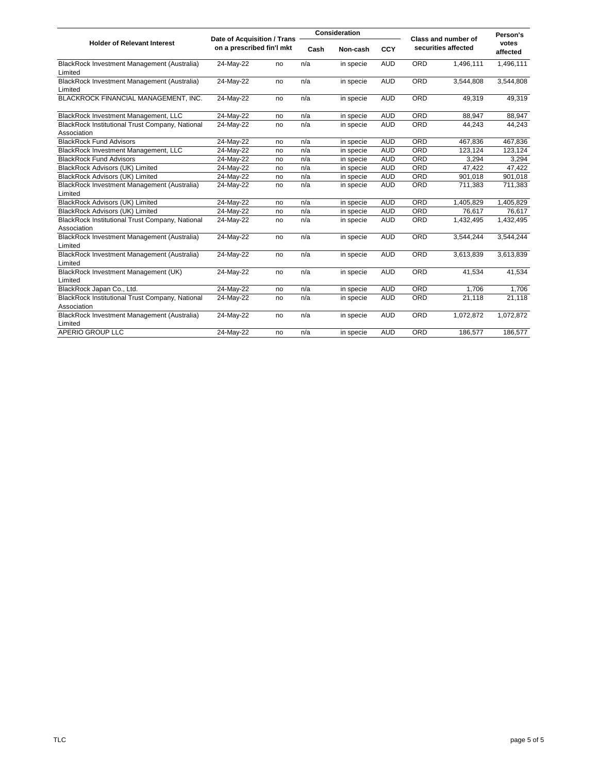|                                                                |           | <b>Date of Acquisition / Trans</b> |     | <b>Consideration</b> |            |                     | <b>Class and number of</b> | Person's          |
|----------------------------------------------------------------|-----------|------------------------------------|-----|----------------------|------------|---------------------|----------------------------|-------------------|
| <b>Holder of Relevant Interest</b>                             |           | on a prescribed fin'l mkt          |     | Non-cash<br>Cash     |            | securities affected |                            | votes<br>affected |
| BlackRock Investment Management (Australia)<br>Limited         | 24-May-22 | no                                 | n/a | in specie            | <b>AUD</b> | <b>ORD</b>          | 1,496,111                  | 1,496,111         |
| BlackRock Investment Management (Australia)<br>Limited         | 24-May-22 | no                                 | n/a | in specie            | <b>AUD</b> | <b>ORD</b>          | 3,544,808                  | 3,544,808         |
| BLACKROCK FINANCIAL MANAGEMENT, INC.                           | 24-May-22 | no                                 | n/a | in specie            | <b>AUD</b> | <b>ORD</b>          | 49,319                     | 49,319            |
| BlackRock Investment Management, LLC                           | 24-May-22 | no                                 | n/a | in specie            | <b>AUD</b> | <b>ORD</b>          | 88,947                     | 88,947            |
| BlackRock Institutional Trust Company, National<br>Association | 24-May-22 | no                                 | n/a | in specie            | <b>AUD</b> | <b>ORD</b>          | 44,243                     | 44,243            |
| <b>BlackRock Fund Advisors</b>                                 | 24-May-22 | no                                 | n/a | in specie            | <b>AUD</b> | ORD                 | 467,836                    | 467,836           |
| BlackRock Investment Management, LLC                           | 24-May-22 | no                                 | n/a | in specie            | <b>AUD</b> | <b>ORD</b>          | 123,124                    | 123,124           |
| <b>BlackRock Fund Advisors</b>                                 | 24-May-22 | no                                 | n/a | in specie            | <b>AUD</b> | ORD                 | 3,294                      | 3,294             |
| BlackRock Advisors (UK) Limited                                | 24-May-22 | no                                 | n/a | in specie            | <b>AUD</b> | ORD                 | 47,422                     | 47,422            |
| BlackRock Advisors (UK) Limited                                | 24-May-22 | no                                 | n/a | in specie            | <b>AUD</b> | ORD                 | 901,018                    | 901,018           |
| BlackRock Investment Management (Australia)<br>Limited         | 24-May-22 | no                                 | n/a | in specie            | <b>AUD</b> | <b>ORD</b>          | 711,383                    | 711,383           |
| <b>BlackRock Advisors (UK) Limited</b>                         | 24-May-22 | no                                 | n/a | in specie            | <b>AUD</b> | <b>ORD</b>          | 1,405,829                  | 1,405,829         |
| <b>BlackRock Advisors (UK) Limited</b>                         | 24-May-22 | no                                 | n/a | in specie            | <b>AUD</b> | <b>ORD</b>          | 76,617                     | 76,617            |
| BlackRock Institutional Trust Company, National<br>Association | 24-May-22 | no                                 | n/a | in specie            | <b>AUD</b> | ORD                 | 1,432,495                  | 1,432,495         |
| BlackRock Investment Management (Australia)<br>Limited         | 24-May-22 | no                                 | n/a | in specie            | <b>AUD</b> | <b>ORD</b>          | 3,544,244                  | 3,544,244         |
| BlackRock Investment Management (Australia)<br>Limited         | 24-May-22 | no                                 | n/a | in specie            | <b>AUD</b> | ORD                 | 3,613,839                  | 3,613,839         |
| BlackRock Investment Management (UK)<br>Limited                | 24-May-22 | no                                 | n/a | in specie            | <b>AUD</b> | ORD                 | 41,534                     | 41,534            |
| BlackRock Japan Co., Ltd.                                      | 24-May-22 | no                                 | n/a | in specie            | <b>AUD</b> | ORD                 | 1,706                      | 1,706             |
| BlackRock Institutional Trust Company, National<br>Association | 24-May-22 | no                                 | n/a | in specie            | <b>AUD</b> | ORD                 | 21,118                     | 21,118            |
| BlackRock Investment Management (Australia)<br>Limited         | 24-May-22 | no                                 | n/a | in specie            | <b>AUD</b> | <b>ORD</b>          | 1,072,872                  | 1,072,872         |
| APERIO GROUP LLC                                               | 24-May-22 | no                                 | n/a | in specie            | <b>AUD</b> | ORD                 | 186,577                    | 186,577           |
|                                                                |           |                                    |     |                      |            |                     |                            |                   |